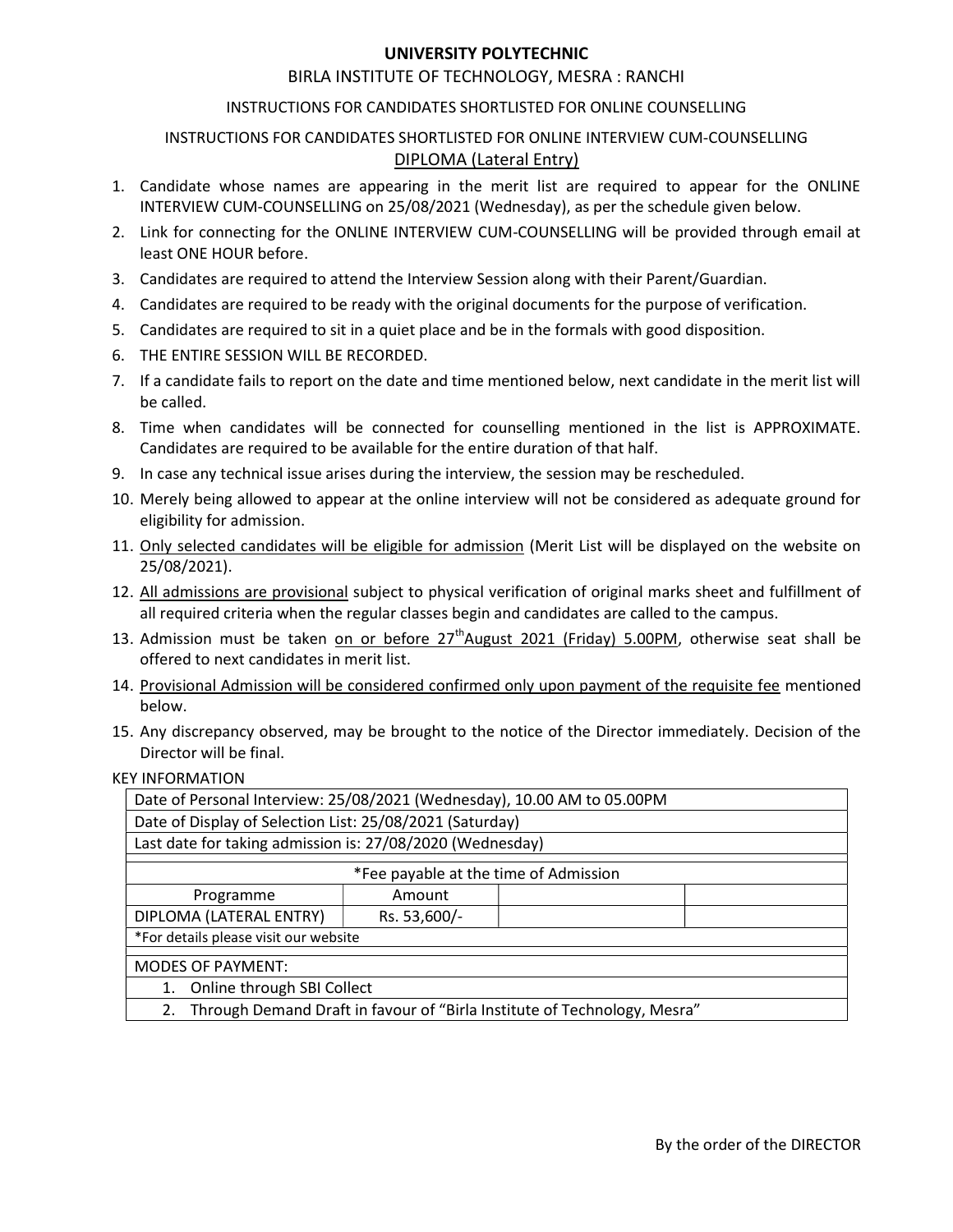## UNIVERSITY POLYTECHNIC

## BIRLA INSTITUTE OF TECHNOLOGY, MESRA : RANCHI

#### INSTRUCTIONS FOR CANDIDATES SHORTLISTED FOR ONLINE COUNSELLING

## INSTRUCTIONS FOR CANDIDATES SHORTLISTED FOR ONLINE INTERVIEW CUM-COUNSELLING DIPLOMA (Lateral Entry)

- 1. Candidate whose names are appearing in the merit list are required to appear for the ONLINE INTERVIEW CUM-COUNSELLING on 25/08/2021 (Wednesday), as per the schedule given below.
- 2. Link for connecting for the ONLINE INTERVIEW CUM-COUNSELLING will be provided through email at least ONE HOUR before.
- 3. Candidates are required to attend the Interview Session along with their Parent/Guardian.
- 4. Candidates are required to be ready with the original documents for the purpose of verification.
- 5. Candidates are required to sit in a quiet place and be in the formals with good disposition.
- 6. THE ENTIRE SESSION WILL BE RECORDED.
- 7. If a candidate fails to report on the date and time mentioned below, next candidate in the merit list will be called.
- 8. Time when candidates will be connected for counselling mentioned in the list is APPROXIMATE. Candidates are required to be available for the entire duration of that half.
- 9. In case any technical issue arises during the interview, the session may be rescheduled.
- 10. Merely being allowed to appear at the online interview will not be considered as adequate ground for eligibility for admission.
- 11. Only selected candidates will be eligible for admission (Merit List will be displayed on the website on 25/08/2021).
- 12. All admissions are provisional subject to physical verification of original marks sheet and fulfillment of all required criteria when the regular classes begin and candidates are called to the campus.
- 13. Admission must be taken on or before  $27<sup>th</sup>$ August 2021 (Friday) 5.00PM, otherwise seat shall be offered to next candidates in merit list.
- 14. Provisional Admission will be considered confirmed only upon payment of the requisite fee mentioned below.
- 15. Any discrepancy observed, may be brought to the notice of the Director immediately. Decision of the Director will be final.

#### KEY INFORMATION

| Date of Personal Interview: 25/08/2021 (Wednesday), 10.00 AM to 05.00PM        |              |  |  |  |  |  |
|--------------------------------------------------------------------------------|--------------|--|--|--|--|--|
| Date of Display of Selection List: 25/08/2021 (Saturday)                       |              |  |  |  |  |  |
| Last date for taking admission is: 27/08/2020 (Wednesday)                      |              |  |  |  |  |  |
| *Fee payable at the time of Admission                                          |              |  |  |  |  |  |
| Programme                                                                      | Amount       |  |  |  |  |  |
| DIPLOMA (LATERAL ENTRY)                                                        | Rs. 53,600/- |  |  |  |  |  |
| *For details please visit our website                                          |              |  |  |  |  |  |
| <b>MODES OF PAYMENT:</b>                                                       |              |  |  |  |  |  |
| Online through SBI Collect<br>1.                                               |              |  |  |  |  |  |
| Through Demand Draft in favour of "Birla Institute of Technology, Mesra"<br>2. |              |  |  |  |  |  |